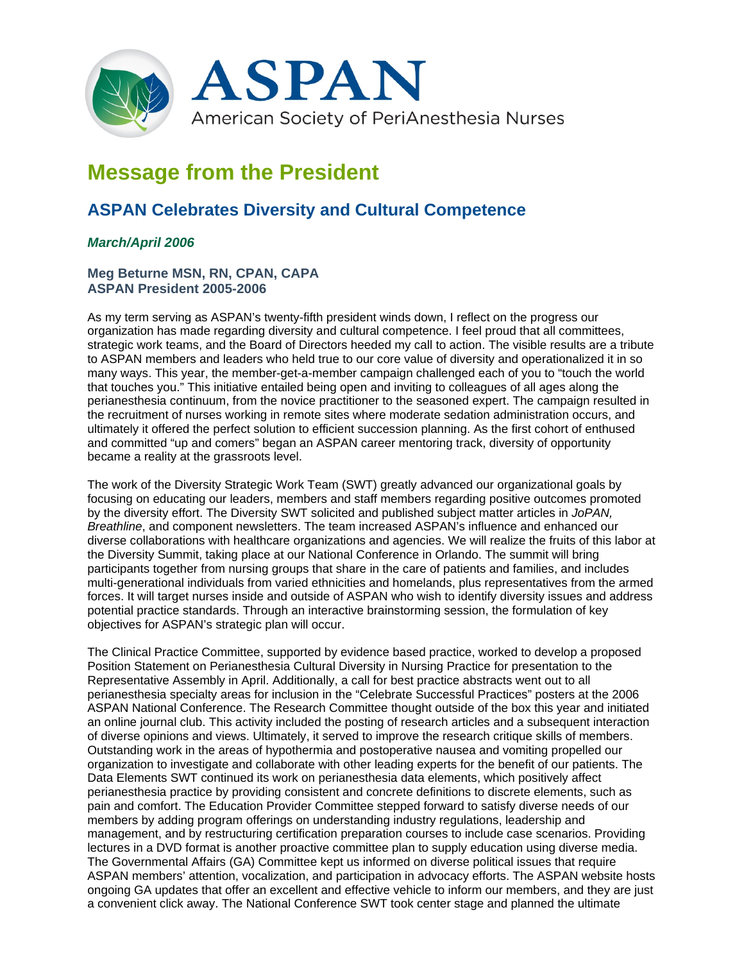

## **Message from the President**

## **ASPAN Celebrates Diversity and Cultural Competence**

## *March/April 2006*

## **Meg Beturne MSN, RN, CPAN, CAPA ASPAN President 2005-2006**

As my term serving as ASPAN's twenty-fifth president winds down, I reflect on the progress our organization has made regarding diversity and cultural competence. I feel proud that all committees, strategic work teams, and the Board of Directors heeded my call to action. The visible results are a tribute to ASPAN members and leaders who held true to our core value of diversity and operationalized it in so many ways. This year, the member-get-a-member campaign challenged each of you to "touch the world that touches you." This initiative entailed being open and inviting to colleagues of all ages along the perianesthesia continuum, from the novice practitioner to the seasoned expert. The campaign resulted in the recruitment of nurses working in remote sites where moderate sedation administration occurs, and ultimately it offered the perfect solution to efficient succession planning. As the first cohort of enthused and committed "up and comers" began an ASPAN career mentoring track, diversity of opportunity became a reality at the grassroots level.

The work of the Diversity Strategic Work Team (SWT) greatly advanced our organizational goals by focusing on educating our leaders, members and staff members regarding positive outcomes promoted by the diversity effort. The Diversity SWT solicited and published subject matter articles in *JoPAN, Breathline*, and component newsletters. The team increased ASPAN's influence and enhanced our diverse collaborations with healthcare organizations and agencies. We will realize the fruits of this labor at the Diversity Summit, taking place at our National Conference in Orlando. The summit will bring participants together from nursing groups that share in the care of patients and families, and includes multi-generational individuals from varied ethnicities and homelands, plus representatives from the armed forces. It will target nurses inside and outside of ASPAN who wish to identify diversity issues and address potential practice standards. Through an interactive brainstorming session, the formulation of key objectives for ASPAN's strategic plan will occur.

The Clinical Practice Committee, supported by evidence based practice, worked to develop a proposed Position Statement on Perianesthesia Cultural Diversity in Nursing Practice for presentation to the Representative Assembly in April. Additionally, a call for best practice abstracts went out to all perianesthesia specialty areas for inclusion in the "Celebrate Successful Practices" posters at the 2006 ASPAN National Conference. The Research Committee thought outside of the box this year and initiated an online journal club. This activity included the posting of research articles and a subsequent interaction of diverse opinions and views. Ultimately, it served to improve the research critique skills of members. Outstanding work in the areas of hypothermia and postoperative nausea and vomiting propelled our organization to investigate and collaborate with other leading experts for the benefit of our patients. The Data Elements SWT continued its work on perianesthesia data elements, which positively affect perianesthesia practice by providing consistent and concrete definitions to discrete elements, such as pain and comfort. The Education Provider Committee stepped forward to satisfy diverse needs of our members by adding program offerings on understanding industry regulations, leadership and management, and by restructuring certification preparation courses to include case scenarios. Providing lectures in a DVD format is another proactive committee plan to supply education using diverse media. The Governmental Affairs (GA) Committee kept us informed on diverse political issues that require ASPAN members' attention, vocalization, and participation in advocacy efforts. The ASPAN website hosts ongoing GA updates that offer an excellent and effective vehicle to inform our members, and they are just a convenient click away. The National Conference SWT took center stage and planned the ultimate